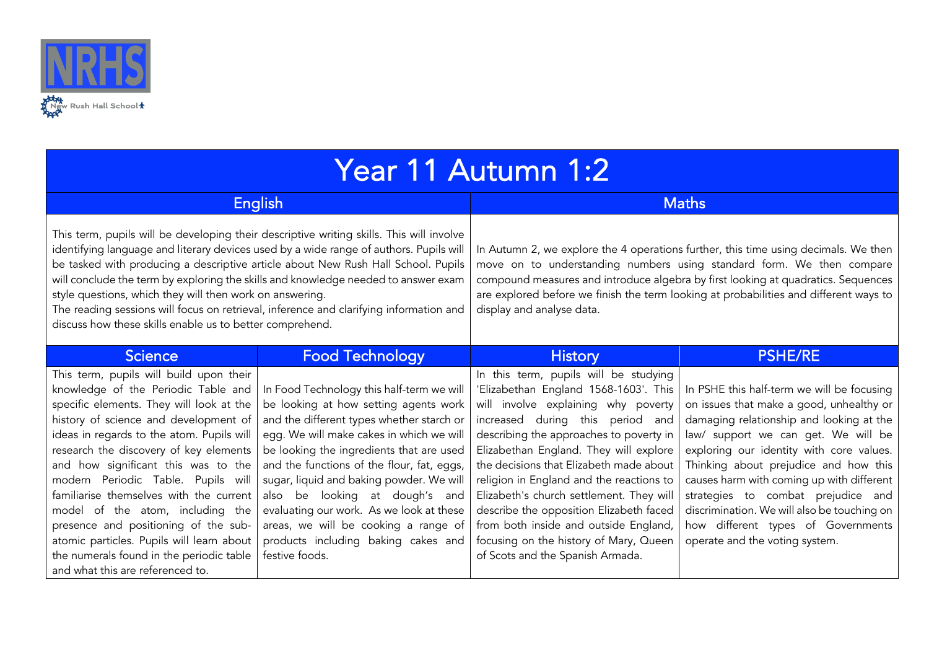

| Year 11 Autumn 1:2 |  |
|--------------------|--|
|                    |  |

| English                                                                                                                                                                                                                                                                                                                                                                                                                                                                                                                                                                                     |                                                                                                                                                                                                                                                                                                                                                                                                                                                                                                     | <b>Maths</b>                                                                                                                                                                                                                                                                                                                                                                                                                                                                                                                                        |                                                                                                                                                                                                                                                                                                                                                                                                                                                                          |  |
|---------------------------------------------------------------------------------------------------------------------------------------------------------------------------------------------------------------------------------------------------------------------------------------------------------------------------------------------------------------------------------------------------------------------------------------------------------------------------------------------------------------------------------------------------------------------------------------------|-----------------------------------------------------------------------------------------------------------------------------------------------------------------------------------------------------------------------------------------------------------------------------------------------------------------------------------------------------------------------------------------------------------------------------------------------------------------------------------------------------|-----------------------------------------------------------------------------------------------------------------------------------------------------------------------------------------------------------------------------------------------------------------------------------------------------------------------------------------------------------------------------------------------------------------------------------------------------------------------------------------------------------------------------------------------------|--------------------------------------------------------------------------------------------------------------------------------------------------------------------------------------------------------------------------------------------------------------------------------------------------------------------------------------------------------------------------------------------------------------------------------------------------------------------------|--|
| This term, pupils will be developing their descriptive writing skills. This will involve<br>identifying language and literary devices used by a wide range of authors. Pupils will<br>be tasked with producing a descriptive article about New Rush Hall School. Pupils<br>will conclude the term by exploring the skills and knowledge needed to answer exam<br>style questions, which they will then work on answering.<br>The reading sessions will focus on retrieval, inference and clarifying information and<br>discuss how these skills enable us to better comprehend.             |                                                                                                                                                                                                                                                                                                                                                                                                                                                                                                     | In Autumn 2, we explore the 4 operations further, this time using decimals. We then<br>move on to understanding numbers using standard form. We then compare<br>compound measures and introduce algebra by first looking at quadratics. Sequences<br>are explored before we finish the term looking at probabilities and different ways to<br>display and analyse data.                                                                                                                                                                             |                                                                                                                                                                                                                                                                                                                                                                                                                                                                          |  |
| <b>Science</b>                                                                                                                                                                                                                                                                                                                                                                                                                                                                                                                                                                              | <b>Food Technology</b>                                                                                                                                                                                                                                                                                                                                                                                                                                                                              | <b>History</b>                                                                                                                                                                                                                                                                                                                                                                                                                                                                                                                                      | <b>PSHE/RE</b>                                                                                                                                                                                                                                                                                                                                                                                                                                                           |  |
| This term, pupils will build upon their<br>knowledge of the Periodic Table and<br>specific elements. They will look at the<br>history of science and development of<br>ideas in regards to the atom. Pupils will<br>research the discovery of key elements<br>and how significant this was to the<br>modern Periodic Table. Pupils will<br>familiarise themselves with the current<br>model of the atom, including the<br>presence and positioning of the sub-<br>atomic particles. Pupils will learn about<br>the numerals found in the periodic table<br>and what this are referenced to. | In Food Technology this half-term we will<br>be looking at how setting agents work<br>and the different types whether starch or<br>egg. We will make cakes in which we will<br>be looking the ingredients that are used<br>and the functions of the flour, fat, eggs,<br>sugar, liquid and baking powder. We will<br>looking at dough's and<br>also be<br>evaluating our work. As we look at these<br>areas, we will be cooking a range of<br>products including baking cakes and<br>festive foods. | In this term, pupils will be studying<br>'Elizabethan England 1568-1603'. This<br>will involve explaining why poverty<br>increased during this period and<br>describing the approaches to poverty in<br>Elizabethan England. They will explore<br>the decisions that Elizabeth made about<br>religion in England and the reactions to<br>Elizabeth's church settlement. They will<br>describe the opposition Elizabeth faced<br>from both inside and outside England,<br>focusing on the history of Mary, Queen<br>of Scots and the Spanish Armada. | In PSHE this half-term we will be focusing<br>on issues that make a good, unhealthy or<br>damaging relationship and looking at the<br>law/ support we can get. We will be<br>exploring our identity with core values.<br>Thinking about prejudice and how this<br>causes harm with coming up with different<br>strategies to combat prejudice and<br>discrimination. We will also be touching on<br>how different types of Governments<br>operate and the voting system. |  |